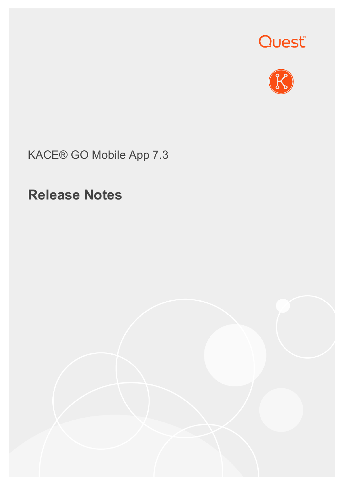



KACE® GO Mobile App 7.3

## **Release Notes**

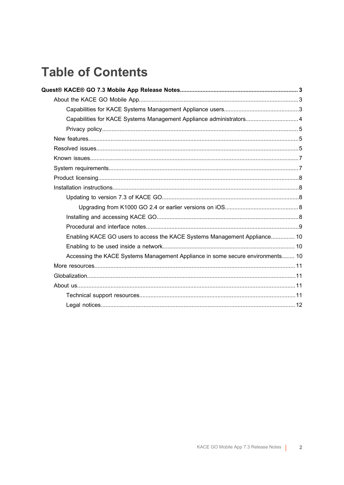## **Table of Contents**

| Capabilities for KACE Systems Management Appliance administrators 4            |  |
|--------------------------------------------------------------------------------|--|
|                                                                                |  |
|                                                                                |  |
|                                                                                |  |
|                                                                                |  |
|                                                                                |  |
|                                                                                |  |
|                                                                                |  |
|                                                                                |  |
|                                                                                |  |
|                                                                                |  |
|                                                                                |  |
| Enabling KACE GO users to access the KACE Systems Management Appliance 10      |  |
|                                                                                |  |
| Accessing the KACE Systems Management Appliance in some secure environments 10 |  |
|                                                                                |  |
|                                                                                |  |
|                                                                                |  |
|                                                                                |  |
|                                                                                |  |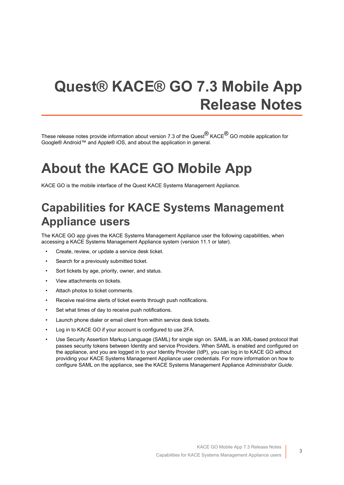# <span id="page-2-0"></span>**Quest® KACE® GO 7.3 Mobile App Release Notes**

These release notes provide information about version 7.3 of the Quest<sup>®</sup> KACE<sup>®</sup> GO mobile application for Google® Android™ and Apple® iOS, and about the application in general.

# <span id="page-2-1"></span>**About the KACE GO Mobile App**

KACE GO is the mobile interface of the Quest KACE Systems Management Appliance.

## <span id="page-2-2"></span>**Capabilities for KACE Systems Management Appliance users**

The KACE GO app gives the KACE Systems Management Appliance user the following capabilities, when accessing a KACE Systems Management Appliance system (version 11.1 or later).

- Create, review, or update a service desk ticket.
- Search for a previously submitted ticket.
- Sort tickets by age, priority, owner, and status.
- View attachments on tickets.
- Attach photos to ticket comments.
- Receive real-time alerts of ticket events through push notifications.
- Set what times of day to receive push notifications.
- Launch phone dialer or email client from within service desk tickets.
- Log in to KACE GO if your account is configured to use 2FA.
- Use Security Assertion Markup Language (SAML) for single sign on. SAML is an XML-based protocol that passes security tokens between Identity and service Providers. When SAML is enabled and configured on the appliance, and you are logged in to your Identity Provider (IdP), you can log in to KACE GO without providing your KACE Systems Management Appliance user credentials. For more information on how to configure SAML on the appliance, see the KACE Systems Management Appliance *Administrator Guide*.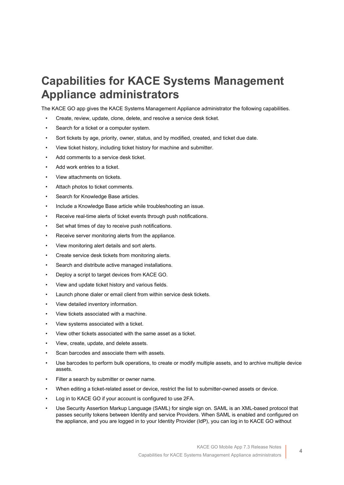### <span id="page-3-0"></span>**Capabilities for KACE Systems Management Appliance administrators**

The KACE GO app gives the KACE Systems Management Appliance administrator the following capabilities.

- Create, review, update, clone, delete, and resolve a service desk ticket.
- Search for a ticket or a computer system.
- Sort tickets by age, priority, owner, status, and by modified, created, and ticket due date.
- View ticket history, including ticket history for machine and submitter.
- Add comments to a service desk ticket.
- Add work entries to a ticket.
- View attachments on tickets.
- Attach photos to ticket comments.
- Search for Knowledge Base articles.
- Include a Knowledge Base article while troubleshooting an issue.
- Receive real-time alerts of ticket events through push notifications.
- Set what times of day to receive push notifications.
- Receive server monitoring alerts from the appliance.
- View monitoring alert details and sort alerts.
- Create service desk tickets from monitoring alerts.
- Search and distribute active managed installations.
- Deploy a script to target devices from KACE GO.
- View and update ticket history and various fields.
- Launch phone dialer or email client from within service desk tickets.
- View detailed inventory information.
- View tickets associated with a machine.
- View systems associated with a ticket.
- View other tickets associated with the same asset as a ticket.
- View, create, update, and delete assets.
- Scan barcodes and associate them with assets.
- Use barcodes to perform bulk operations, to create or modify multiple assets, and to archive multiple device assets.
- Filter a search by submitter or owner name.
- When editing a ticket-related asset or device, restrict the list to submitter-owned assets or device.
- Log in to KACE GO if your account is configured to use 2FA.
- Use Security Assertion Markup Language (SAML) for single sign on. SAML is an XML-based protocol that passes security tokens between Identity and service Providers. When SAML is enabled and configured on the appliance, and you are logged in to your Identity Provider (IdP), you can log in to KACE GO without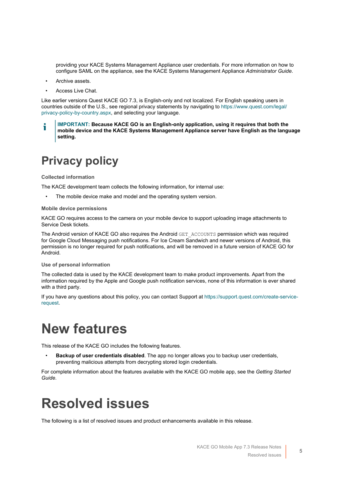providing your KACE Systems Management Appliance user credentials. For more information on how to configure SAML on the appliance, see the KACE Systems Management Appliance *Administrator Guide*.

- Archive assets.
- Access Live Chat.

Like earlier versions Quest KACE GO 7.3, is English-only and not localized. For English speaking users in countries outside of the U.S., see regional privacy statements by navigating to [https://www.quest.com/legal/](https://www.quest.com/legal/privacy-policy-by-country.aspx) [privacy-policy-by-country.aspx](https://www.quest.com/legal/privacy-policy-by-country.aspx), and selecting your language.

**IMPORTANT: Because KACE GO is an English-only application, using it requires that both the mobile device and the KACE Systems Management Appliance server have English as the language setting.**

## <span id="page-4-0"></span>**Privacy policy**

#### **Collected information**

The KACE development team collects the following information, for internal use:

The mobile device make and model and the operating system version.

#### **Mobile device permissions**

KACE GO requires access to the camera on your mobile device to support uploading image attachments to Service Desk tickets.

The Android version of KACE GO also requires the Android GET\_ACCOUNTS permission which was required for Google Cloud Messaging push notifications. For Ice Cream Sandwich and newer versions of Android, this permission is no longer required for push notifications, and will be removed in a future version of KACE GO for Android.

#### **Use of personal information**

The collected data is used by the KACE development team to make product improvements. Apart from the information required by the Apple and Google push notification services, none of this information is ever shared with a third party.

If you have any questions about this policy, you can contact Support at [https://support.quest.com/create-service](https://support.quest.com/create-service-request)[request](https://support.quest.com/create-service-request).

## <span id="page-4-1"></span>**New features**

This release of the KACE GO includes the following features.

• **Backup of user credentials disabled**. The app no longer allows you to backup user credentials, preventing malicious attempts from decrypting stored login credentials.

For complete information about the features available with the KACE GO mobile app, see the *Getting Started Guide*.

## <span id="page-4-2"></span>**Resolved issues**

The following is a list of resolved issues and product enhancements available in this release.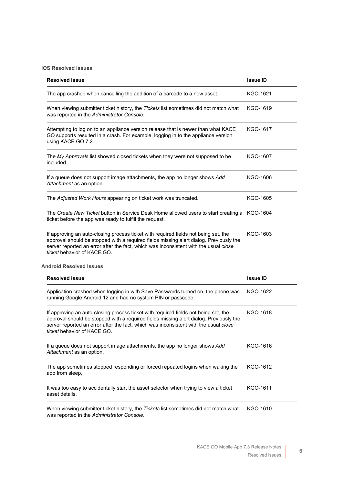#### **iOS Resolved Issues**

| <b>Resolved issue</b>                                                                                                                                                                                                                                                                                | <b>Issue ID</b> |
|------------------------------------------------------------------------------------------------------------------------------------------------------------------------------------------------------------------------------------------------------------------------------------------------------|-----------------|
| The app crashed when cancelling the addition of a barcode to a new asset.                                                                                                                                                                                                                            | KGO-1621        |
| When viewing submitter ticket history, the Tickets list sometimes did not match what<br>was reported in the Administrator Console.                                                                                                                                                                   | KGO-1619        |
| Attempting to log on to an appliance version release that is newer than what KACE<br>GO supports resulted in a crash. For example, logging in to the appliance version<br>using KACE GO 7.2.                                                                                                         | KGO-1617        |
| The My Approvals list showed closed tickets when they were not supposed to be<br>included.                                                                                                                                                                                                           | KGO-1607        |
| If a queue does not support image attachments, the app no longer shows Add<br>Attachment as an option.                                                                                                                                                                                               | KGO-1606        |
| The Adjusted Work Hours appearing on ticket work was truncated.                                                                                                                                                                                                                                      | KGO-1605        |
| The Create New Ticket button in Service Desk Home allowed users to start creating a KGO-1604<br>ticket before the app was ready to fulfill the request.                                                                                                                                              |                 |
| If approving an auto-closing process ticket with required fields not being set, the<br>approval should be stopped with a required fields missing alert dialog. Previously the<br>server reported an error after the fact, which was inconsistent with the usual close<br>ticket behavior of KACE GO. | KGO-1603        |
| <b>Android Resolved Issues</b>                                                                                                                                                                                                                                                                       |                 |
| <b>Resolved issue</b>                                                                                                                                                                                                                                                                                | <b>Issue ID</b> |
| Application crashed when logging in with Save Passwords turned on, the phone was<br>running Google Android 12 and had no system PIN or passcode.                                                                                                                                                     | KGO-1622        |
| If approving an auto-closing process ticket with required fields not being set, the<br>approval should be stopped with a required fields missing alert dialog. Previously the<br>server reported an error after the fact, which was inconsistent with the usual close<br>ticket behavior of KACE GO. | KGO-1618        |
| If a queue does not support image attachments, the app no longer shows Add<br>Attachment as an option.                                                                                                                                                                                               | KGO-1616        |
| The app sometimes stopped responding or forced repeated logins when waking the<br>app from sleep,                                                                                                                                                                                                    | KGO-1612        |
| It was too easy to accidentally start the asset selector when trying to view a ticket<br>asset details.                                                                                                                                                                                              | KGO-1611        |
| When viewing submitter ticket history, the Tickets list sometimes did not match what<br>was reported in the Administrator Console.                                                                                                                                                                   | KGO-1610        |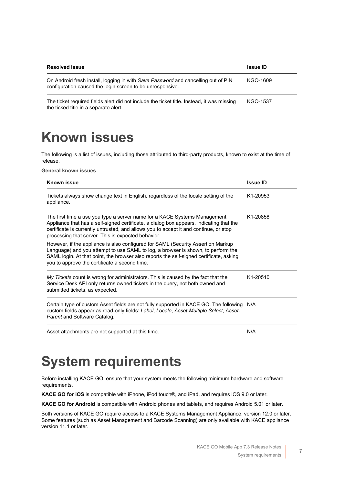| <b>Resolved issue</b>                                                                                                                          | <b>Issue ID</b> |
|------------------------------------------------------------------------------------------------------------------------------------------------|-----------------|
| On Android fresh install, logging in with Save Password and cancelling out of PIN<br>configuration caused the login screen to be unresponsive. | KGO-1609        |
| The ticket required fields alert did not include the ticket title. Instead, it was missing<br>the ticked title in a separate alert.            | KGO-1537        |

## <span id="page-6-0"></span>**Known issues**

The following is a list of issues, including those attributed to third-party products, known to exist at the time of release.

**General known issues**

| Known issue                                                                                                                                                                                                                                                                                                         | <b>Issue ID</b>       |
|---------------------------------------------------------------------------------------------------------------------------------------------------------------------------------------------------------------------------------------------------------------------------------------------------------------------|-----------------------|
| Tickets always show change text in English, regardless of the locale setting of the<br>appliance.                                                                                                                                                                                                                   | K <sub>1</sub> -20953 |
| The first time a use you type a server name for a KACE Systems Management<br>Appliance that has a self-signed certificate, a dialog box appears, indicating that the<br>certificate is currently untrusted, and allows you to accept it and continue, or stop<br>processing that server. This is expected behavior. | K <sub>1</sub> -20858 |
| However, if the appliance is also configured for SAML (Security Assertion Markup<br>Language) and you attempt to use SAML to log, a browser is shown, to perform the<br>SAML login. At that point, the browser also reports the self-signed certificate, asking<br>you to approve the certificate a second time.    |                       |
| My Tickets count is wrong for administrators. This is caused by the fact that the<br>Service Desk API only returns owned tickets in the query, not both owned and<br>submitted tickets, as expected.                                                                                                                | K1-20510              |
| Certain type of custom Asset fields are not fully supported in KACE GO. The following<br>custom fields appear as read-only fields: Label, Locale, Asset-Multiple Select, Asset-<br>Parent and Software Catalog.                                                                                                     | N/A                   |
| Asset attachments are not supported at this time.                                                                                                                                                                                                                                                                   | N/A                   |

## <span id="page-6-1"></span>**System requirements**

Before installing KACE GO, ensure that your system meets the following minimum hardware and software requirements.

**KACE GO for iOS** is compatible with iPhone, iPod touch®, and iPad, and requires iOS 9.0 or later.

**KACE GO for Android** is compatible with Android phones and tablets, and requires Android 5.01 or later.

Both versions of KACE GO require access to a KACE Systems Management Appliance, version 12.0 or later. Some features (such as Asset Management and Barcode Scanning) are only available with KACE appliance version 11.1 or later.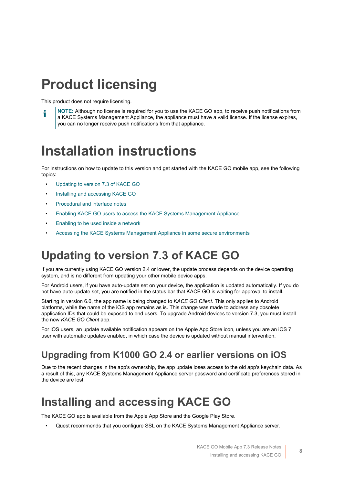# <span id="page-7-0"></span>**Product licensing**

This product does not require licensing.

**NOTE:** Although no license is required for you to use the KACE GO app, to receive push notifications from a KACE Systems Management Appliance, the appliance must have a valid license. If the license expires, you can no longer receive push notifications from that appliance.

## <span id="page-7-1"></span>**Installation instructions**

For instructions on how to update to this version and get started with the KACE GO mobile app, see the following topics:

- [Updating to version 7.3 of KACE GO](#page-7-2)
- [Installing and accessing KACE GO](#page-7-4)
- [Procedural and interface notes](#page-8-0)
- [Enabling KACE GO users to access the KACE Systems Management Appliance](#page-9-0)
- [Enabling to be used inside a network](#page-9-1)
- [Accessing the KACE Systems Management Appliance in some secure environments](#page-9-2)

## <span id="page-7-2"></span>**Updating to version 7.3 of KACE GO**

If you are currently using KACE GO version 2.4 or lower, the update process depends on the device operating system, and is no different from updating your other mobile device apps.

For Android users, if you have auto-update set on your device, the application is updated automatically. If you do not have auto-update set, you are notified in the status bar that KACE GO is waiting for approval to install.

Starting in version 6.0, the app name is being changed to *KACE GO Client*. This only applies to Android platforms, while the name of the iOS app remains as is. This change was made to address any obsolete application IDs that could be exposed to end users. To upgrade Android devices to version 7.3, you must install the new *KACE GO Client* app.

For iOS users, an update available notification appears on the Apple App Store icon, unless you are an iOS 7 user with automatic updates enabled, in which case the device is updated without manual intervention.

#### <span id="page-7-3"></span>**Upgrading from K1000 GO 2.4 or earlier versions on iOS**

Due to the recent changes in the app's ownership, the app update loses access to the old app's keychain data. As a result of this, any KACE Systems Management Appliance server password and certificate preferences stored in the device are lost.

## <span id="page-7-4"></span>**Installing and accessing KACE GO**

The KACE GO app is available from the Apple App Store and the Google Play Store.

• Quest recommends that you configure SSL on the KACE Systems Management Appliance server.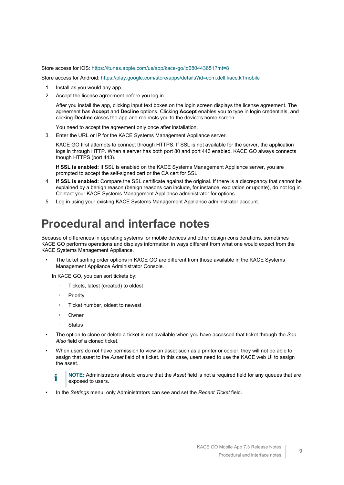Store access for iOS:<https://itunes.apple.com/us/app/kace-go/id680443651?mt=8>

Store access for Android:<https://play.google.com/store/apps/details?id=com.dell.kace.k1mobile>

- 1. Install as you would any app.
- 2. Accept the license agreement before you log in.

After you install the app, clicking input text boxes on the login screen displays the license agreement. The agreement has **Accept** and **Decline** options. Clicking **Accept** enables you to type in login credentials, and clicking **Decline** closes the app and redirects you to the device's home screen.

You need to accept the agreement only once after installation.

3. Enter the URL or IP for the KACE Systems Management Appliance server.

KACE GO first attempts to connect through HTTPS. If SSL is not available for the server, the application logs in through HTTP. When a server has both port 80 and port 443 enabled, KACE GO always connects though HTTPS (port 443).

**If SSL is enabled:** If SSL is enabled on the KACE Systems Management Appliance server, you are prompted to accept the self-signed cert or the CA cert for SSL.

- 4. **If SSL is enabled:** Compare the SSL certificate against the original. If there is a discrepancy that cannot be explained by a benign reason (benign reasons can include, for instance, expiration or update), do not log in. Contact your KACE Systems Management Appliance administrator for options.
- 5. Log in using your existing KACE Systems Management Appliance administrator account.

### <span id="page-8-0"></span>**Procedural and interface notes**

Because of differences in operating systems for mobile devices and other design considerations, sometimes KACE GO performs operations and displays information in ways different from what one would expect from the KACE Systems Management Appliance.

The ticket sorting order options in KACE GO are different from those available in the KACE Systems Management Appliance Administrator Console.

In KACE GO, you can sort tickets by:

- Tickets, latest (created) to oldest
- **Priority**
- Ticket number, oldest to newest
- **Owner**
- **Status**
- The option to clone or delete a ticket is not available when you have accessed that ticket through the *See Also* field of a cloned ticket.
- When users do not have permission to view an asset such as a printer or copier, they will not be able to assign that asset to the *Asset* field of a ticket. In this case, users need to use the KACE web UI to assign the asset.

**NOTE:** Administrators should ensure that the *Asset* field is not a required field for any queues that are exposed to users.

• In the *Settings* menu, only Administrators can see and set the *Recent Ticket* field.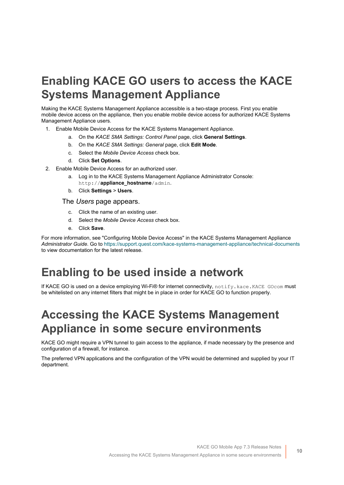## <span id="page-9-0"></span>**Enabling KACE GO users to access the KACE Systems Management Appliance**

Making the KACE Systems Management Appliance accessible is a two-stage process. First you enable mobile device access on the appliance, then you enable mobile device access for authorized KACE Systems Management Appliance users.

- 1. Enable Mobile Device Access for the KACE Systems Management Appliance.
	- a. On the *KACE SMA Settings: Control Panel* page, click **General Settings**.
	- b. On the *KACE SMA Settings: General* page, click **Edit Mode**.
	- c. Select the *Mobile Device Access* check box.
	- d. Click **Set Options**.
- 2. Enable Mobile Device Access for an authorized user.
	- a. Log in to the KACE Systems Management Appliance Administrator Console: http://**appliance\_hostname**/admin.
	- b. Click **Settings** > **Users**.

#### The *Users* page appears.

- c. Click the name of an existing user.
- d. Select the *Mobile Device Access* check box.
- e. Click **Save**.

For more information, see "Configuring Mobile Device Access" in the KACE Systems Management Appliance *Administrator Guide*. Go to <https://support.quest.com/kace-systems-management-appliance/technical-documents> to view documentation for the latest release.

### <span id="page-9-1"></span>**Enabling to be used inside a network**

If KACE GO is used on a device employing Wi-Fi® for internet connectivity, notify.kace.KACE GOcom must be whitelisted on any internet filters that might be in place in order for KACE GO to function properly.

### <span id="page-9-2"></span>**Accessing the KACE Systems Management Appliance in some secure environments**

KACE GO might require a VPN tunnel to gain access to the appliance, if made necessary by the presence and configuration of a firewall, for instance.

The preferred VPN applications and the configuration of the VPN would be determined and supplied by your IT department.

**10**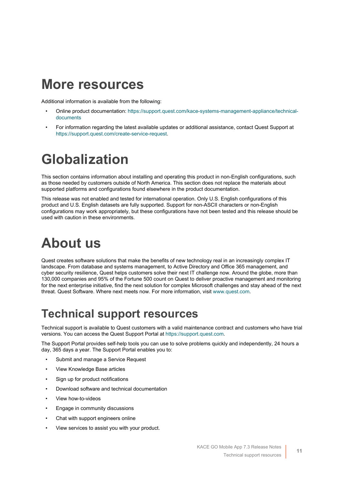## <span id="page-10-0"></span>**More resources**

Additional information is available from the following:

- Online product documentation: [https://support.quest.com/kace-systems-management-appliance/technical](https://support.quest.com/kace-systems-management-appliance/technical-documents)[documents](https://support.quest.com/kace-systems-management-appliance/technical-documents)
- For information regarding the latest available updates or additional assistance, contact Quest Support at <https://support.quest.com/create-service-request>.

# <span id="page-10-1"></span>**Globalization**

This section contains information about installing and operating this product in non-English configurations, such as those needed by customers outside of North America. This section does not replace the materials about supported platforms and configurations found elsewhere in the product documentation.

This release was not enabled and tested for international operation. Only U.S. English configurations of this product and U.S. English datasets are fully supported. Support for non-ASCII characters or non-English configurations may work appropriately, but these configurations have not been tested and this release should be used with caution in these environments.

# <span id="page-10-2"></span>**About us**

Quest creates software solutions that make the benefits of new technology real in an increasingly complex IT landscape. From database and systems management, to Active Directory and Office 365 management, and cyber security resilience, Quest helps customers solve their next IT challenge now. Around the globe, more than 130,000 companies and 95% of the Fortune 500 count on Quest to deliver proactive management and monitoring for the next enterprise initiative, find the next solution for complex Microsoft challenges and stay ahead of the next threat. Quest Software. Where next meets now. For more information, visit [www.quest.com.](https://www.quest.com/company/contact-us.aspx)

### <span id="page-10-3"></span>**Technical support resources**

Technical support is available to Quest customers with a valid maintenance contract and customers who have trial versions. You can access the Quest Support Portal at [https://support.quest.com.](https://support.quest.com/)

The Support Portal provides self-help tools you can use to solve problems quickly and independently, 24 hours a day, 365 days a year. The Support Portal enables you to:

- Submit and manage a Service Request
- View Knowledge Base articles
- Sign up for product notifications
- Download software and technical documentation
- View how-to-videos
- Engage in community discussions
- Chat with support engineers online
- View services to assist you with your product.